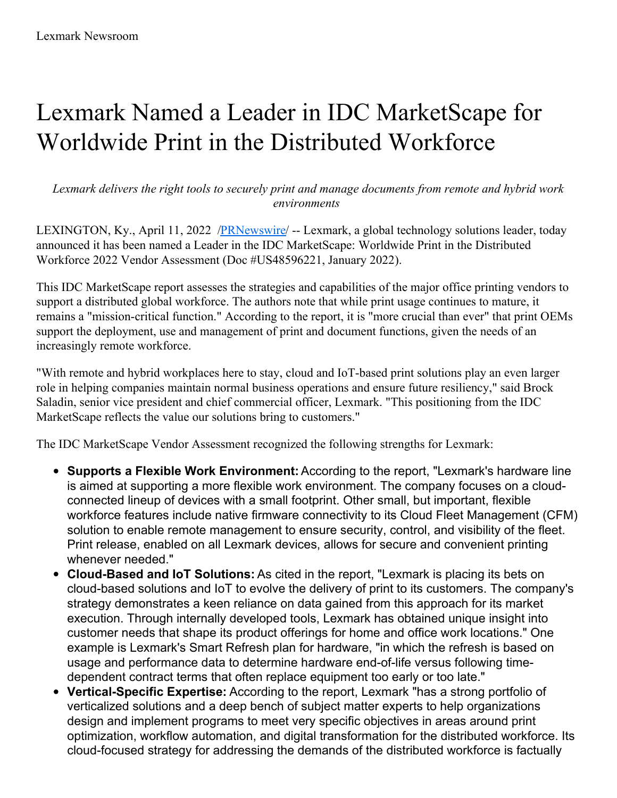## Lexmark Named a Leader in IDC MarketScape for Worldwide Print in the Distributed Workforce

*Lexmark delivers the right tools to securely print and manage documents from remote and hybrid work environments*

LEXINGTON, Ky., April 11, 2022 [/PRNewswire](http://www.prnewswire.com/)/ -- Lexmark, a global technology solutions leader, today announced it has been named a Leader in the IDC MarketScape: Worldwide Print in the Distributed Workforce 2022 Vendor Assessment (Doc #US48596221, January 2022).

This IDC MarketScape report assesses the strategies and capabilities of the major office printing vendors to support a distributed global workforce. The authors note that while print usage continues to mature, it remains a "mission-critical function." According to the report, it is "more crucial than ever" that print OEMs support the deployment, use and management of print and document functions, given the needs of an increasingly remote workforce.

"With remote and hybrid workplaces here to stay, cloud and IoT-based print solutions play an even larger role in helping companies maintain normal business operations and ensure future resiliency," said Brock Saladin, senior vice president and chief commercial officer, Lexmark. "This positioning from the IDC MarketScape reflects the value our solutions bring to customers."

The IDC MarketScape Vendor Assessment recognized the following strengths for Lexmark:

- **Supports a Flexible Work Environment:** According to the report, "Lexmark's hardware line is aimed at supporting a more flexible work environment. The company focuses on a cloudconnected lineup of devices with a small footprint. Other small, but important, flexible workforce features include native firmware connectivity to its Cloud Fleet Management (CFM) solution to enable remote management to ensure security, control, and visibility of the fleet. Print release, enabled on all Lexmark devices, allows for secure and convenient printing whenever needed."
- **Cloud-Based and IoT Solutions:** As cited in the report, "Lexmark is placing its bets on cloud-based solutions and IoT to evolve the delivery of print to its customers. The company's strategy demonstrates a keen reliance on data gained from this approach for its market execution. Through internally developed tools, Lexmark has obtained unique insight into customer needs that shape its product offerings for home and office work locations." One example is Lexmark's Smart Refresh plan for hardware, "in which the refresh is based on usage and performance data to determine hardware end-of-life versus following timedependent contract terms that often replace equipment too early or too late."
- **Vertical-Specific Expertise:** According to the report, Lexmark "has a strong portfolio of verticalized solutions and a deep bench of subject matter experts to help organizations design and implement programs to meet very specific objectives in areas around print optimization, workflow automation, and digital transformation for the distributed workforce. Its cloud-focused strategy for addressing the demands of the distributed workforce is factually